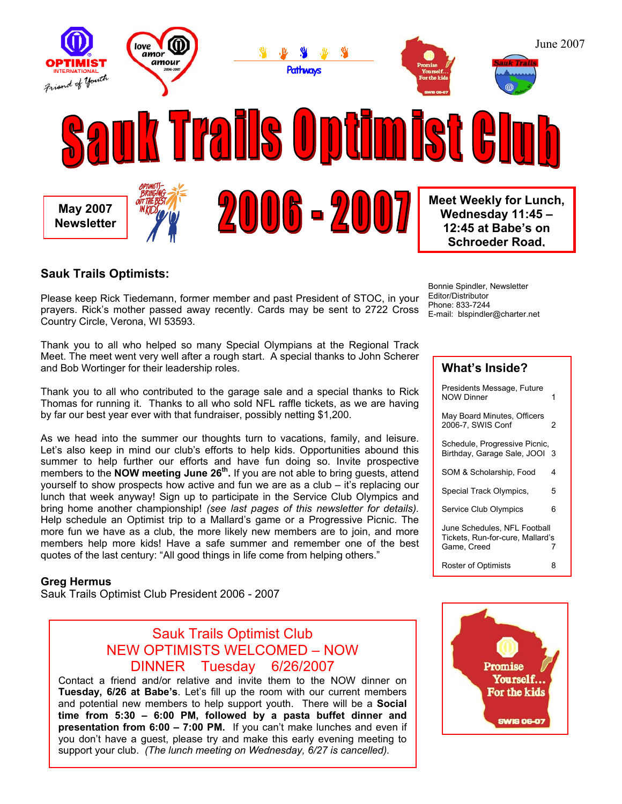

## **Sauk Trails Optimists:**

Please keep Rick Tiedemann, former member and past President of STOC, in your prayers. Rick's mother passed away recently. Cards may be sent to 2722 Cross Country Circle, Verona, WI 53593.

Thank you to all who helped so many Special Olympians at the Regional Track Meet. The meet went very well after a rough start. A special thanks to John Scherer and Bob Wortinger for their leadership roles.

Thank you to all who contributed to the garage sale and a special thanks to Rick Thomas for running it. Thanks to all who sold NFL raffle tickets, as we are having by far our best year ever with that fundraiser, possibly netting \$1,200.

As we head into the summer our thoughts turn to vacations, family, and leisure. Let's also keep in mind our club's efforts to help kids. Opportunities abound this summer to help further our efforts and have fun doing so. Invite prospective members to the **NOW meeting June 26<sup>th</sup>**. If you are not able to bring guests, attend yourself to show prospects how active and fun we are as a club – it's replacing our lunch that week anyway! Sign up to participate in the Service Club Olympics and bring home another championship! *(see last pages of this newsletter for details).* Help schedule an Optimist trip to a Mallard's game or a Progressive Picnic. The more fun we have as a club, the more likely new members are to join, and more members help more kids! Have a safe summer and remember one of the best quotes of the last century: "All good things in life come from helping others."

#### **Greg Hermus**

Sauk Trails Optimist Club President 2006 - 2007

## Sauk Trails Optimist Club NEW OPTIMISTS WELCOMED – NOW DINNER Tuesday 6/26/2007

Contact a friend and/or relative and invite them to the NOW dinner on **Tuesday, 6/26 at Babe's**. Let's fill up the room with our current members and potential new members to help support youth. There will be a **Social time from 5:30 – 6:00 PM, followed by a pasta buffet dinner and presentation from 6:00 – 7:00 PM.** If you can't make lunches and even if you don't have a guest, please try and make this early evening meeting to support your club. *(The lunch meeting on Wednesday, 6/27 is cancelled).* 

Bonnie Spindler, Newsletter Editor/Distributor Phone: 833-7244 E-mail: blspindler@charter.net

#### **What's Inside?**

| Presidents Message, Future<br>NOW Dinner                                        | 1 |
|---------------------------------------------------------------------------------|---|
| May Board Minutes, Officers<br>2006-7. SWIS Conf                                | 2 |
| Schedule, Progressive Picnic,<br>Birthday, Garage Sale, JOOI                    | 3 |
| SOM & Scholarship, Food                                                         | 4 |
| Special Track Olympics,                                                         | 5 |
| <b>Service Club Olympics</b>                                                    | 6 |
| June Schedules, NFL Football<br>Tickets, Run-for-cure, Mallard's<br>Game, Creed | 7 |
| Roster of Optimists                                                             | 8 |

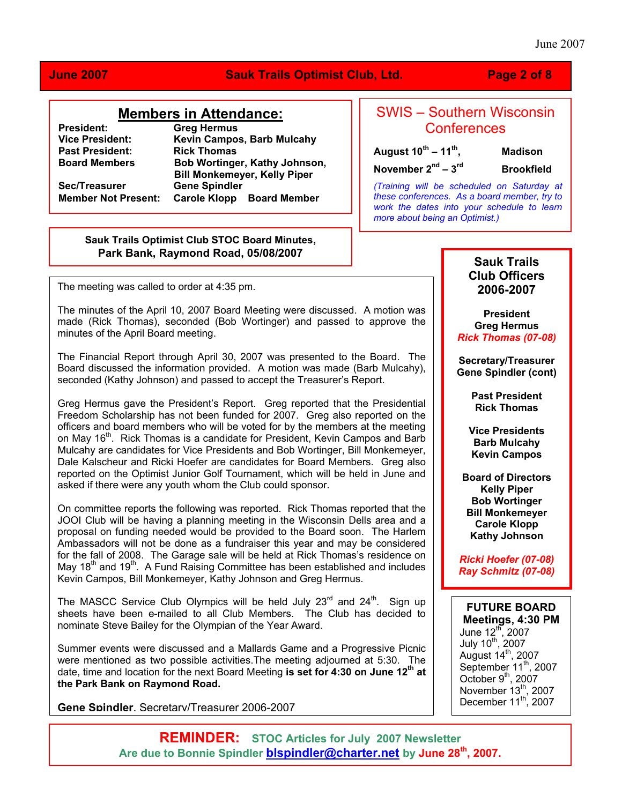### June 2007

## **June 2007 Sauk Trails Optimist Club, Ltd. Page 2 of 8**

### **Members in Attendance:**

**Past President:**<br>Board Members

**President:** Greg Hermus<br> **Vice President:** Kevin Campos **Kevin Campos, Barb Mulcahy<br>Rick Thomas Bob Wortinger, Kathy Johnson, Bill Monkemeyer, Kelly Piper**  Sec/Treasurer **Gene Spindler Member Not Present: Carole Klopp Board Member** 

## SWIS – Southern Wisconsin **Conferences**

**August 10th – 11th, Madison** 

**November 2nd – 3rd Brookfield** 

*(Training will be scheduled on Saturday at these conferences. As a board member, try to work the dates into your schedule to learn more about being an Optimist.)*

#### **Sauk Trails Optimist Club STOC Board Minutes, Park Bank, Raymond Road, 05/08/2007**

The meeting was called to order at 4:35 pm.

The minutes of the April 10, 2007 Board Meeting were discussed. A motion was made (Rick Thomas), seconded (Bob Wortinger) and passed to approve the minutes of the April Board meeting.

The Financial Report through April 30, 2007 was presented to the Board. The Board discussed the information provided. A motion was made (Barb Mulcahy), seconded (Kathy Johnson) and passed to accept the Treasurer's Report.

Greg Hermus gave the President's Report. Greg reported that the Presidential Freedom Scholarship has not been funded for 2007. Greg also reported on the officers and board members who will be voted for by the members at the meeting on May 16<sup>th</sup>. Rick Thomas is a candidate for President, Kevin Campos and Barb Mulcahy are candidates for Vice Presidents and Bob Wortinger, Bill Monkemeyer, Dale Kalscheur and Ricki Hoefer are candidates for Board Members. Greg also reported on the Optimist Junior Golf Tournament, which will be held in June and asked if there were any youth whom the Club could sponsor.

On committee reports the following was reported. Rick Thomas reported that the JOOI Club will be having a planning meeting in the Wisconsin Dells area and a proposal on funding needed would be provided to the Board soon. The Harlem Ambassadors will not be done as a fundraiser this year and may be considered for the fall of 2008. The Garage sale will be held at Rick Thomas's residence on May  $18<sup>th</sup>$  and  $19<sup>th</sup>$ . A Fund Raising Committee has been established and includes Kevin Campos, Bill Monkemeyer, Kathy Johnson and Greg Hermus.

The MASCC Service Club Olympics will be held July  $23<sup>rd</sup>$  and  $24<sup>th</sup>$ . Sign up sheets have been e-mailed to all Club Members. The Club has decided to nominate Steve Bailey for the Olympian of the Year Award.

Summer events were discussed and a Mallards Game and a Progressive Picnic were mentioned as two possible activities.The meeting adjourned at 5:30. The date, time and location for the next Board Meeting is set for 4:30 on June 12<sup>th</sup> at **the Park Bank on Raymond Road.** 

**Gene Spindler**, Secretary/Treasurer 2006-2007

## **Sauk Trails Club Officers 2006-2007**

**President Greg Hermus** *Rick Thomas (07-08)* 

**Secretary/Treasurer Gene Spindler (cont)** 

> **Past President Rick Thomas**

**Vice Presidents Barb Mulcahy Kevin Campos** 

**Board of Directors Kelly Piper Bob Wortinger Bill Monkemeyer Carole Klopp Kathy Johnson** 

*Ricki Hoefer (07-08) Ray Schmitz (07-08)* 

**FUTURE BOARD Meetings, 4:30 PM**  June 12<sup>th</sup>, 2007 July 10<sup>th</sup>, 2007 August  $14<sup>th</sup>$ , 2007 September 11<sup>th</sup>, 2007 October  $9<sup>th</sup>$ , 2007 November  $13^{\text{th}}$ , 2007 December  $11^{th}$ , 2007

**REMINDER: STOC Articles for July 2007 Newsletter Are due to Bonnie Spindler [blspindler@charter.net](mailto:blspindler@charter.net) by June 28th, 2007.**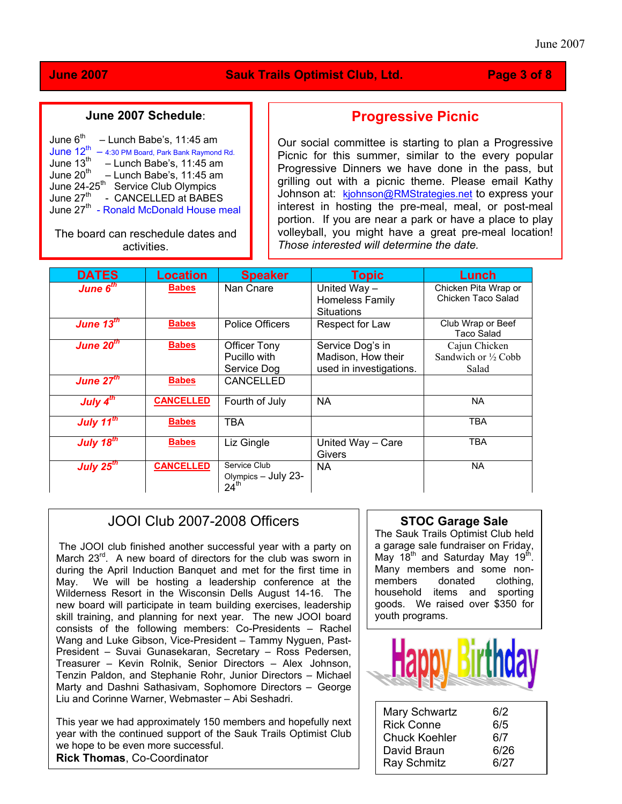## **June 2007 Sauk Trails Optimist Club, Ltd. Page 3 of 8**

## **June 2007 Schedule**:

| June 6 <sup>th</sup>       |  |  | - Lunch Babe's, 11:45 am                           |  |
|----------------------------|--|--|----------------------------------------------------|--|
| June $12^{th}$             |  |  | - 4:30 PM Board, Park Bank Raymond Rd.             |  |
| June 13th                  |  |  | - Lunch Babe's, 11:45 am                           |  |
| June 20 <sup>th</sup>      |  |  | - Lunch Babe's, 11:45 am                           |  |
| June $24-25$ <sup>th</sup> |  |  | Service Club Olympics                              |  |
| June 27 <sup>th</sup>      |  |  | - CANCELLED at BABES                               |  |
|                            |  |  | June 27 <sup>th</sup> - Ronald McDonald House meal |  |

The board can reschedule dates and activities.

## **Progressive Picnic**

Our social committee is starting to plan a Progressive Picnic for this summer, similar to the every popular Progressive Dinners we have done in the pass, but grilling out with a picnic theme. Please email Kathy Johnson at: [kjohnson@RMStrategies.net](mailto:kjohnson@RMStrategies.net) to express your interest in hosting the pre-meal, meal, or post-meal portion. If you are near a park or have a place to play volleyball, you might have a great pre-meal location! *Those interested will determine the date.* 

| <b>DATES</b>          | <b>Location</b>  | <b>Speaker</b>                                          | <b>Topic</b>                                                      | Lunch                                          |
|-----------------------|------------------|---------------------------------------------------------|-------------------------------------------------------------------|------------------------------------------------|
| June $6th$            | <b>Babes</b>     | Nan Cnare                                               | United Way-<br>Homeless Family<br><b>Situations</b>               | Chicken Pita Wrap or<br>Chicken Taco Salad     |
| June $13^{\text{th}}$ | <b>Babes</b>     | <b>Police Officers</b>                                  | Respect for Law                                                   | Club Wrap or Beef<br>Taco Salad                |
| June $20th$           | <b>Babes</b>     | <b>Officer Tony</b><br>Pucillo with<br>Service Dog      | Service Dog's in<br>Madison, How their<br>used in investigations. | Cajun Chicken<br>Sandwich or 1/2 Cobb<br>Salad |
| June $27th$           | <b>Babes</b>     | <b>CANCELLED</b>                                        |                                                                   |                                                |
| July $4^{th}$         | <b>CANCELLED</b> | Fourth of July                                          | <b>NA</b>                                                         | NA.                                            |
| July $11^{th}$        | <b>Babes</b>     | TBA                                                     |                                                                   | <b>TBA</b>                                     |
| July $18^{th}$        | <b>Babes</b>     | Liz Gingle                                              | United Way - Care<br>Givers                                       | <b>TBA</b>                                     |
| July $25th$           | <b>CANCELLED</b> | Service Club<br>Olympics - July 23-<br>24 <sup>th</sup> | <b>NA</b>                                                         | NA.                                            |

## JOOI Club 2007-2008 Officers

The JOOI club finished another successful year with a party on March 23<sup>rd</sup>. A new board of directors for the club was sworn in during the April Induction Banquet and met for the first time in May. We will be hosting a leadership conference at the Wilderness Resort in the Wisconsin Dells August 14-16. The new board will participate in team building exercises, leadership skill training, and planning for next year. The new JOOI board consists of the following members: Co-Presidents – Rachel Wang and Luke Gibson, Vice-President – Tammy Nyguen, Past-President – Suvai Gunasekaran, Secretary – Ross Pedersen, Treasurer – Kevin Rolnik, Senior Directors – Alex Johnson, Tenzin Paldon, and Stephanie Rohr, Junior Directors – Michael Marty and Dashni Sathasivam, Sophomore Directors – George Liu and Corinne Warner, Webmaster – Abi Seshadri.

This year we had approximately 150 members and hopefully next year with the continued support of the Sauk Trails Optimist Club we hope to be even more successful. **Rick Thomas**, Co-Coordinator

### **STOC Garage Sale**

The Sauk Trails Optimist Club held a garage sale fundraiser on Friday, May  $18^{th}$  and Saturday May  $19^{th}$ Many members and some non-<br>members donated clothing. members donated clothing, household items and sporting goods. We raised over \$350 for youth programs.

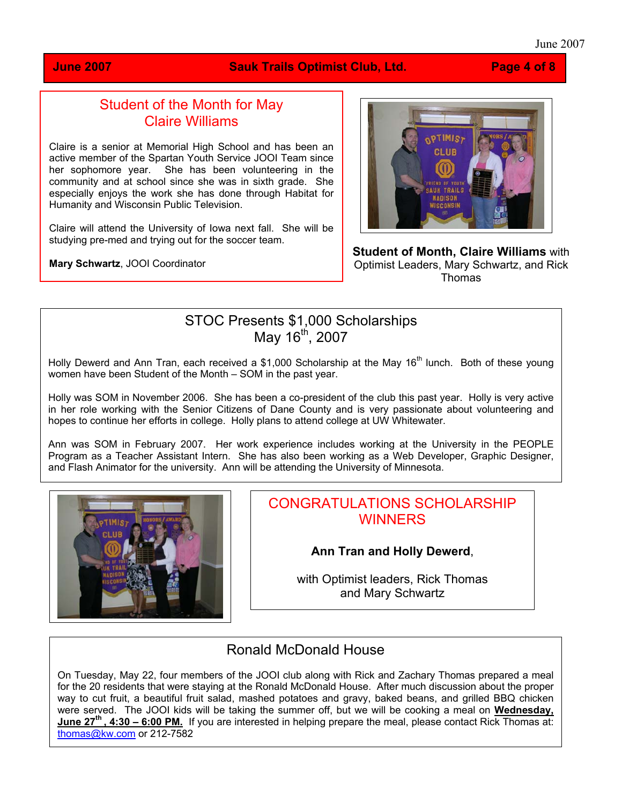#### June 2007

### **June 2007 Sauk Trails Optimist Club, Ltd. Page 4 of 8**

## Student of the Month for May Claire Williams

Claire is a senior at Memorial High School and has been an active member of the Spartan Youth Service JOOI Team since her sophomore year. She has been volunteering in the community and at school since she was in sixth grade. She especially enjoys the work she has done through Habitat for Humanity and Wisconsin Public Television.

Claire will attend the University of Iowa next fall. She will be studying pre-med and trying out for the soccer team.

**Mary Schwartz**, JOOI Coordinator



**Student of Month, Claire Williams** with Optimist Leaders, Mary Schwartz, and Rick Thomas

## STOC Presents \$1,000 Scholarships May 16<sup>th</sup>, 2007

Holly Dewerd and Ann Tran, each received a \$1,000 Scholarship at the May 16<sup>th</sup> lunch. Both of these young women have been Student of the Month – SOM in the past year.

Holly was SOM in November 2006. She has been a co-president of the club this past year. Holly is very active in her role working with the Senior Citizens of Dane County and is very passionate about volunteering and hopes to continue her efforts in college. Holly plans to attend college at UW Whitewater.

Ann was SOM in February 2007. Her work experience includes working at the University in the PEOPLE Program as a Teacher Assistant Intern. She has also been working as a Web Developer, Graphic Designer, and Flash Animator for the university. Ann will be attending the University of Minnesota.



## CONGRATULATIONS SCHOLARSHIP **WINNERS**

**Ann Tran and Holly Dewerd**,

with Optimist leaders, Rick Thomas and Mary Schwartz

# Ronald McDonald House

On Tuesday, May 22, four members of the JOOI club along with Rick and Zachary Thomas prepared a meal for the 20 residents that were staying at the Ronald McDonald House. After much discussion about the proper way to cut fruit, a beautiful fruit salad, mashed potatoes and gravy, baked beans, and grilled BBQ chicken were served. The JOOI kids will be taking the summer off, but we will be cooking a meal on **Wednesday, June 27th , 4:30 – 6:00 PM.** If you are interested in helping prepare the meal, please contact Rick Thomas at: [thomas@kw.com](mailto:thomas@kw.com) or 212-7582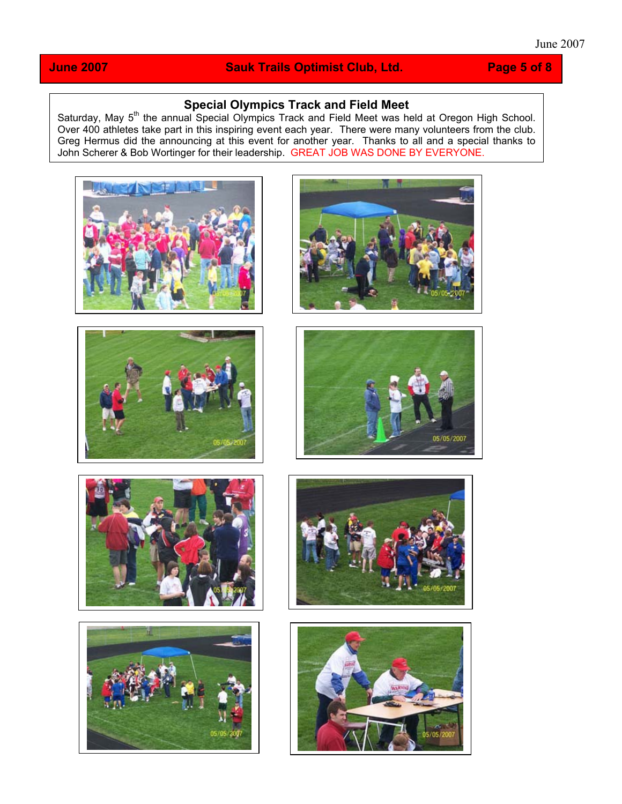## **June 2007** Sauk Trails Optimist Club, Ltd. Page 5 of 8

## **Special Olympics Track and Field Meet**

Saturday, May 5<sup>th</sup> the annual Special Olympics Track and Field Meet was held at Oregon High School. Over 400 athletes take part in this inspiring event each year. There were many volunteers from the club. Greg Hermus did the announcing at this event for another year. Thanks to all and a special thanks to John Scherer & Bob Wortinger for their leadership. GREAT JOB WAS DONE BY EVERYONE.















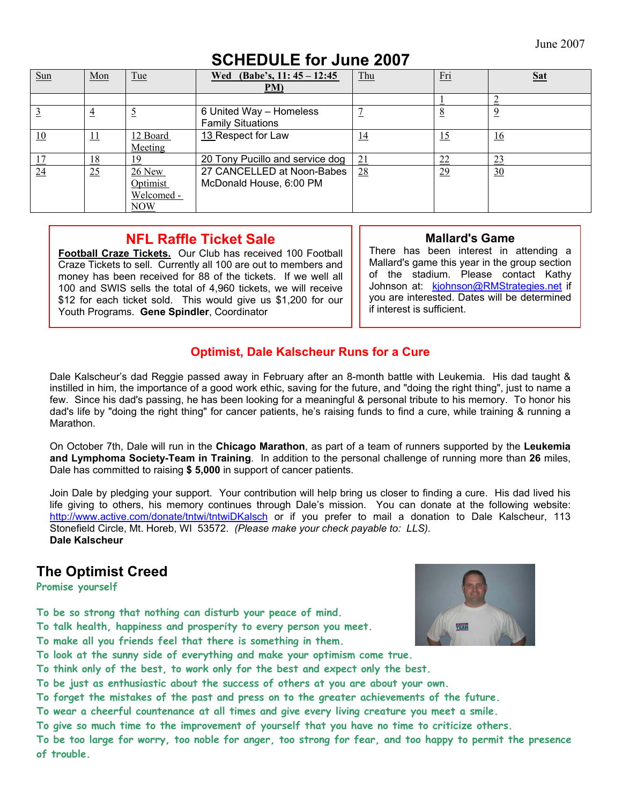# **SCHEDULE for June 2007**

| Sun | Mon            | Tue                                       | Wed (Babe's, $11:45 - 12:45$ )<br>PM)                 | Thu       | Fri       | <b>Sat</b>     |
|-----|----------------|-------------------------------------------|-------------------------------------------------------|-----------|-----------|----------------|
|     |                |                                           |                                                       |           |           |                |
|     | $\overline{4}$ |                                           | 6 United Way - Homeless<br><b>Family Situations</b>   |           |           | $\overline{9}$ |
| 10  | <u> 11</u>     | 12 Board<br>Meeting                       | 13 Respect for Law                                    | <u>14</u> | <u>15</u> | <u>16</u>      |
|     | <u> 18</u>     | 19                                        | 20 Tony Pucillo and service dog                       | 21        | 22        | 23             |
| 24  | 25             | $26$ New<br>Optimist<br>Welcomed -<br>NOW | 27 CANCELLED at Noon-Babes<br>McDonald House, 6:00 PM | 28        | 29        | 30             |

## **NFL Raffle Ticket Sale**

**Football Craze Tickets.** Our Club has received 100 Football Craze Tickets to sell. Currently all 100 are out to members and money has been received for 88 of the tickets. If we well all 100 and SWIS sells the total of 4,960 tickets, we will receive \$12 for each ticket sold. This would give us \$1,200 for our Youth Programs. **Gene Spindler**, Coordinator

## **Mallard's Game**

There has been interest in attending a Mallard's game this year in the group section of the stadium. Please contact Kathy Johnson at: [kjohnson@RMStrategies.net](mailto:kjohnson@RMStrategies.net) if you are interested. Dates will be determined if interest is sufficient.

## **Optimist, Dale Kalscheur Runs for a Cure**

Dale Kalscheur's dad Reggie passed away in February after an 8-month battle with Leukemia. His dad taught & instilled in him, the importance of a good work ethic, saving for the future, and "doing the right thing", just to name a few. Since his dad's passing, he has been looking for a meaningful & personal tribute to his memory. To honor his dad's life by "doing the right thing" for cancer patients, he's raising funds to find a cure, while training & running a Marathon.

On October 7th, Dale will run in the **Chicago Marathon**, as part of a team of runners supported by the **Leukemia and Lymphoma Society-Team in Training**. In addition to the personal challenge of running more than **26** miles, Dale has committed to raising **\$ 5,000** in support of cancer patients.

Join Dale by pledging your support. Your contribution will help bring us closer to finding a cure. His dad lived his life giving to others, his memory continues through Dale's mission. You can donate at the following website: <http://www.active.com/donate/tntwi/tntwiDKalsch>or if you prefer to mail a donation to Dale Kalscheur, 113 Stonefield Circle, Mt. Horeb, WI 53572. *(Please make your check payable to: LLS).*  **Dale Kalscheur** 

## **The Optimist Creed**

**Promise yourself** 

**To be so strong that nothing can disturb your peace of mind.** 

**To talk health, happiness and prosperity to every person you meet.** 

**To make all you friends feel that there is something in them.** 



**To look at the sunny side of everything and make your optimism come true.** 

**To think only of the best, to work only for the best and expect only the best.** 

**To be just as enthusiastic about the success of others at you are about your own.** 

**To forget the mistakes of the past and press on to the greater achievements of the future.** 

**To wear a cheerful countenance at all times and give every living creature you meet a smile.** 

**To give so much time to the improvement of yourself that you have no time to criticize others.** 

**To be too large for worry, too noble for anger, too strong for fear, and too happy to permit the presence of trouble.**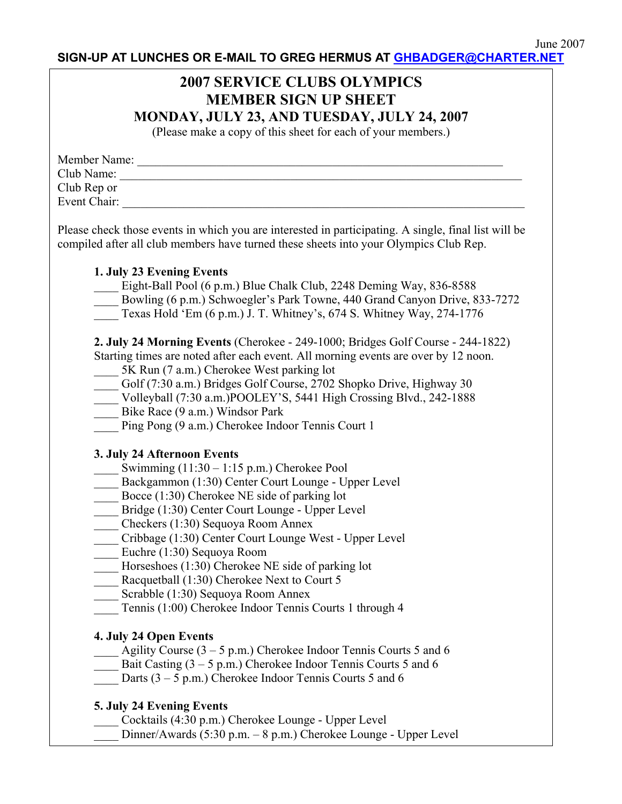**SIGN-UP AT LUNCHES OR E-MAIL TO GREG HERMUS AT [GHBADGER@CHARTER.NET](mailto:ghbadger@charter.net)** 

## **2007 SERVICE CLUBS OLYMPICS MEMBER SIGN UP SHEET MONDAY, JULY 23, AND TUESDAY, JULY 24, 2007**

(Please make a copy of this sheet for each of your members.)

| Member Name: |  |
|--------------|--|
| Club Name:   |  |
| Club Rep or  |  |
| Event Chair: |  |

Please check those events in which you are interested in participating. A single, final list will be compiled after all club members have turned these sheets into your Olympics Club Rep.

### **1. July 23 Evening Events**

- Eight-Ball Pool (6 p.m.) Blue Chalk Club, 2248 Deming Way, 836-8588
- Bowling (6 p.m.) Schwoegler's Park Towne, 440 Grand Canyon Drive, 833-7272
- \_\_\_\_ Texas Hold 'Em (6 p.m.) J. T. Whitney's, 674 S. Whitney Way, 274-1776

**2. July 24 Morning Events** (Cherokee - 249-1000; Bridges Golf Course - 244-1822)

- Starting times are noted after each event. All morning events are over by 12 noon. \_\_\_\_ 5K Run (7 a.m.) Cherokee West parking lot
- \_\_\_\_ Golf (7:30 a.m.) Bridges Golf Course, 2702 Shopko Drive, Highway 30
- \_\_\_\_ Volleyball (7:30 a.m.)POOLEY'S, 5441 High Crossing Blvd., 242-1888
- Bike Race (9 a.m.) Windsor Park
- Ping Pong (9 a.m.) Cherokee Indoor Tennis Court 1

## **3. July 24 Afternoon Events**

- Swimming  $(11:30 1:15 \text{ p.m.})$  Cherokee Pool
- Backgammon (1:30) Center Court Lounge Upper Level
- Bocce (1:30) Cherokee NE side of parking lot
- Bridge (1:30) Center Court Lounge Upper Level
- \_\_\_\_ Checkers (1:30) Sequoya Room Annex
- \_\_\_\_ Cribbage (1:30) Center Court Lounge West Upper Level
- \_\_\_\_ Euchre (1:30) Sequoya Room
- \_\_\_\_ Horseshoes (1:30) Cherokee NE side of parking lot
- Racquetball (1:30) Cherokee Next to Court 5
- Scrabble (1:30) Sequoya Room Annex
- \_\_\_\_ Tennis (1:00) Cherokee Indoor Tennis Courts 1 through 4

## **4. July 24 Open Events**

- Agility Course ( $3 5$  p.m.) Cherokee Indoor Tennis Courts 5 and 6
- Bait Casting  $(3 5 p.m.)$  Cherokee Indoor Tennis Courts 5 and 6
- Darts  $(3 5 p.m.)$  Cherokee Indoor Tennis Courts 5 and 6

## **5. July 24 Evening Events**

- Cocktails (4:30 p.m.) Cherokee Lounge Upper Level
- Dinner/Awards (5:30 p.m. 8 p.m.) Cherokee Lounge Upper Level